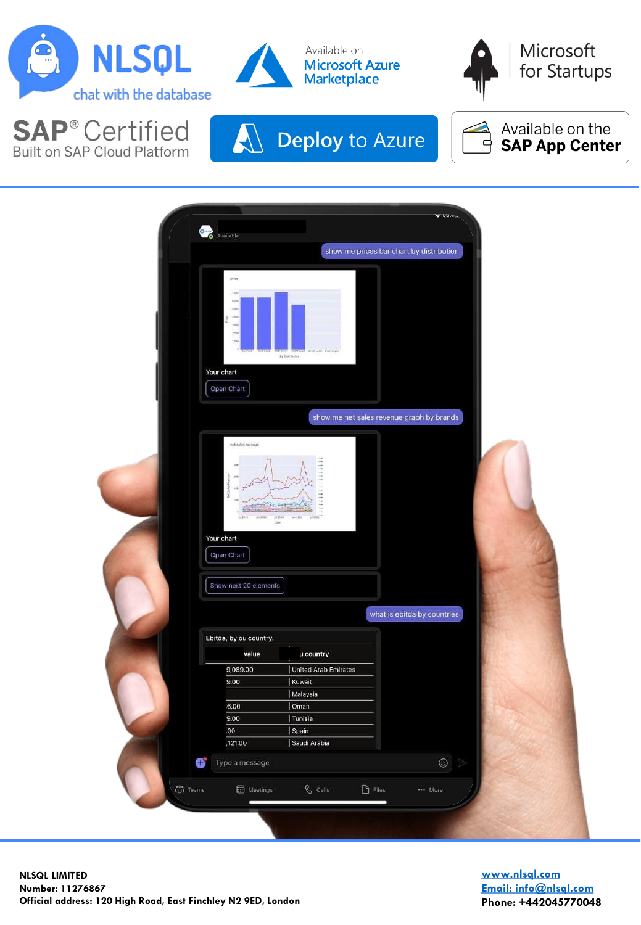

**SAP®Certified** 

Built on SAP Cloud Platform











**[www.nlsql.com](mailto:info@nlsql.com) [Email: info@nlsql.com](mailto:info@nlsql.com) Phone: +442045770048**